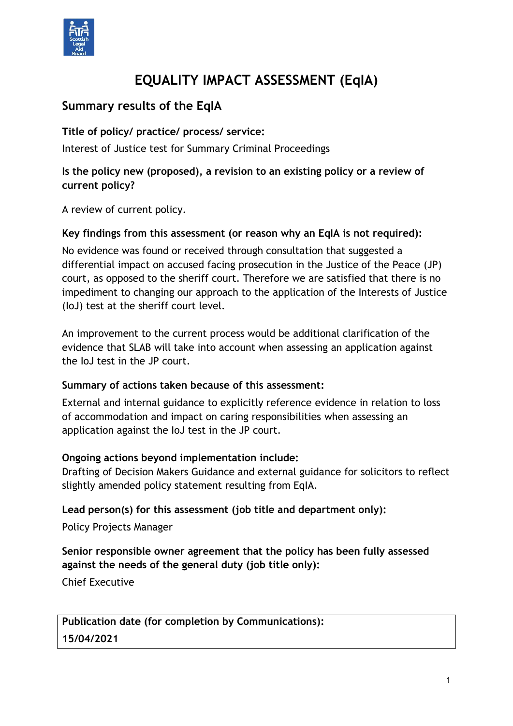

# **EQUALITY IMPACT ASSESSMENT (EqIA)**

# **Summary results of the EqIA**

**Title of policy/ practice/ process/ service:**

Interest of Justice test for Summary Criminal Proceedings

### **Is the policy new (proposed), a revision to an existing policy or a review of current policy?**

A review of current policy.

### **Key findings from this assessment (or reason why an EqIA is not required):**

No evidence was found or received through consultation that suggested a differential impact on accused facing prosecution in the Justice of the Peace (JP) court, as opposed to the sheriff court. Therefore we are satisfied that there is no impediment to changing our approach to the application of the Interests of Justice (IoJ) test at the sheriff court level.

An improvement to the current process would be additional clarification of the evidence that SLAB will take into account when assessing an application against the IoJ test in the JP court.

#### **Summary of actions taken because of this assessment:**

External and internal guidance to explicitly reference evidence in relation to loss of accommodation and impact on caring responsibilities when assessing an application against the IoJ test in the JP court.

#### **Ongoing actions beyond implementation include:**

Drafting of Decision Makers Guidance and external guidance for solicitors to reflect slightly amended policy statement resulting from EqIA.

#### **Lead person(s) for this assessment (job title and department only):**

Policy Projects Manager

### **Senior responsible owner agreement that the policy has been fully assessed against the needs of the general duty (job title only):**

Chief Executive

**Publication date (for completion by Communications): 15/04/2021**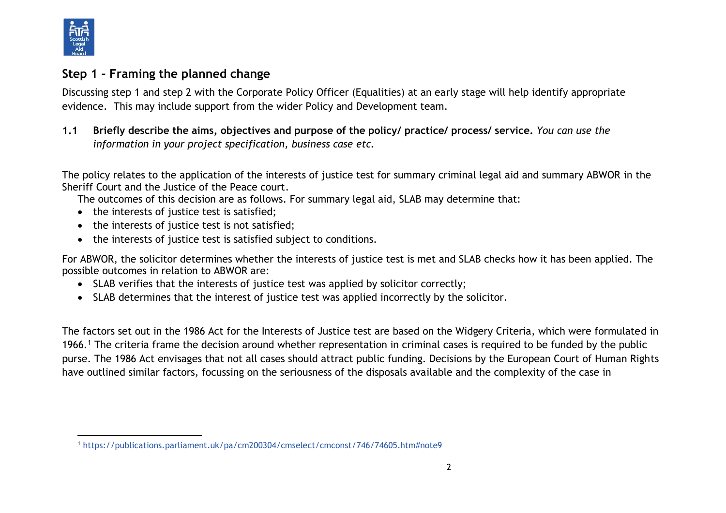

## **Step 1 – Framing the planned change**

Discussing step 1 and step 2 with the Corporate Policy Officer (Equalities) at an early stage will help identify appropriate evidence. This may include support from the wider Policy and Development team.

**1.1 Briefly describe the aims, objectives and purpose of the policy/ practice/ process/ service.** *You can use the information in your project specification, business case etc.* 

The policy relates to the application of the interests of justice test for summary criminal legal aid and summary ABWOR in the Sheriff Court and the Justice of the Peace court.

The outcomes of this decision are as follows. For summary legal aid, SLAB may determine that:

- the interests of justice test is satisfied;
- the interests of justice test is not satisfied;
- the interests of justice test is satisfied subject to conditions.

For ABWOR, the solicitor determines whether the interests of justice test is met and SLAB checks how it has been applied. The possible outcomes in relation to ABWOR are:

- SLAB verifies that the interests of justice test was applied by solicitor correctly;
- SLAB determines that the interest of justice test was applied incorrectly by the solicitor.

The factors set out in the 1986 Act for the Interests of Justice test are based on the Widgery Criteria, which were formulated in 1966.<sup>1</sup> The criteria frame the decision around whether representation in criminal cases is required to be funded by the public purse. The 1986 Act envisages that not all cases should attract public funding. Decisions by the European Court of Human Rights have outlined similar factors, focussing on the seriousness of the disposals available and the complexity of the case in

l <sup>1</sup> <https://publications.parliament.uk/pa/cm200304/cmselect/cmconst/746/74605.htm#note9>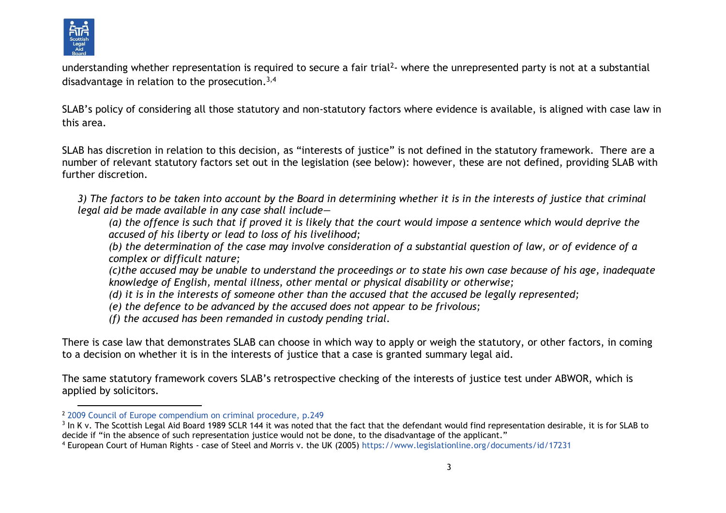

l

understanding whether representation is required to secure a fair trial<sup>2</sup>- where the unrepresented party is not at a substantial disadvantage in relation to the prosecution.<sup>3,4</sup>

SLAB's policy of considering all those statutory and non-statutory factors where evidence is available, is aligned with case law in this area.

SLAB has discretion in relation to this decision, as "interests of justice" is not defined in the statutory framework. There are a number of relevant statutory factors set out in the legislation (see below): however, these are not defined, providing SLAB with further discretion.

*3) The factors to be taken into account by the Board in determining whether it is in the interests of justice that criminal legal aid be made available in any case shall include—*

*(a) the offence is such that if proved it is likely that the court would impose a sentence which would deprive the accused of his liberty or lead to loss of his livelihood;*

*(b) the determination of the case may involve consideration of a substantial question of law, or of evidence of a complex or difficult nature;*

*(c)the accused may be unable to understand the proceedings or to state his own case because of his age, inadequate knowledge of English, mental illness, other mental or physical disability or otherwise;*

- *(d) it is in the interests of someone other than the accused that the accused be legally represented;*
- *(e) the defence to be advanced by the accused does not appear to be frivolous;*
- *(f) the accused has been remanded in custody pending trial.*

There is case law that demonstrates SLAB can choose in which way to apply or weigh the statutory, or other factors, in coming to a decision on whether it is in the interests of justice that a case is granted summary legal aid.

The same statutory framework covers SLAB's retrospective checking of the interests of justice test under ABWOR, which is applied by solicitors.

<sup>2</sup> [2009 Council of Europe compendium on criminal procedure,](file://///cifssata/Common/Common/Shared/File%20Sharing/GALA/Policy%20statement%20development/GALA001%20IoJ/pub_coe_criminal_procedure_2009_eng%20(p249).pdf) p.249

 $^3$  In K v. The Scottish Legal Aid Board 1989 SCLR 144 it was noted that the fact that the defendant would find representation desirable, it is for SLAB to decide if "in the absence of such representation justice would not be done, to the disadvantage of the applicant."

<sup>4</sup> European Court of Human Rights - case of Steel and Morris v. the UK (2005) <https://www.legislationline.org/documents/id/17231>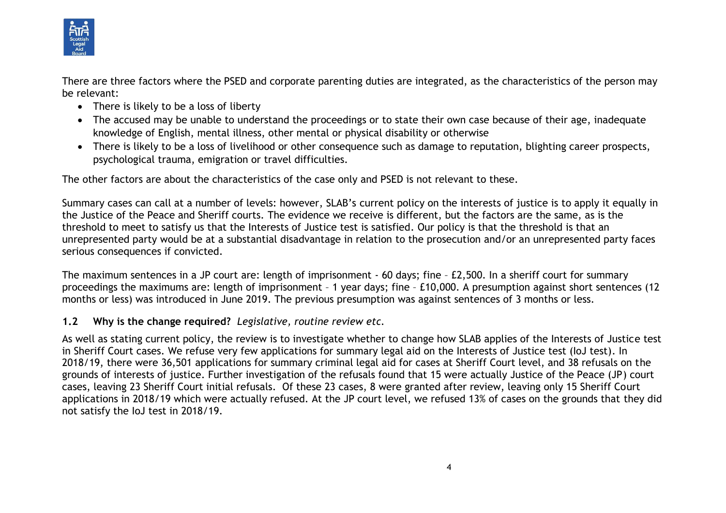

There are three factors where the PSED and corporate parenting duties are integrated, as the characteristics of the person may be relevant:

- There is likely to be a loss of liberty
- The accused may be unable to understand the proceedings or to state their own case because of their age, inadequate knowledge of English, mental illness, other mental or physical disability or otherwise
- There is likely to be a loss of livelihood or other consequence such as damage to reputation, blighting career prospects, psychological trauma, emigration or travel difficulties.

The other factors are about the characteristics of the case only and PSED is not relevant to these.

Summary cases can call at a number of levels: however, SLAB's current policy on the interests of justice is to apply it equally in the Justice of the Peace and Sheriff courts. The evidence we receive is different, but the factors are the same, as is the threshold to meet to satisfy us that the Interests of Justice test is satisfied. Our policy is that the threshold is that an unrepresented party would be at a substantial disadvantage in relation to the prosecution and/or an unrepresented party faces serious consequences if convicted.

The maximum sentences in a JP court are: length of imprisonment - 60 days; fine – £2,500. In a sheriff court for summary proceedings the maximums are: length of imprisonment – 1 year days; fine – £10,000. A presumption against short sentences (12 months or less) was introduced in June 2019. The previous presumption was against sentences of 3 months or less.

#### **1.2 Why is the change required?** *Legislative, routine review etc.*

As well as stating current policy, the review is to investigate whether to change how SLAB applies of the Interests of Justice test in Sheriff Court cases. We refuse very few applications for summary legal aid on the Interests of Justice test (IoJ test). In 2018/19, there were 36,501 applications for summary criminal legal aid for cases at Sheriff Court level, and 38 refusals on the grounds of interests of justice. Further investigation of the refusals found that 15 were actually Justice of the Peace (JP) court cases, leaving 23 Sheriff Court initial refusals. Of these 23 cases, 8 were granted after review, leaving only 15 Sheriff Court applications in 2018/19 which were actually refused. At the JP court level, we refused 13% of cases on the grounds that they did not satisfy the IoJ test in 2018/19.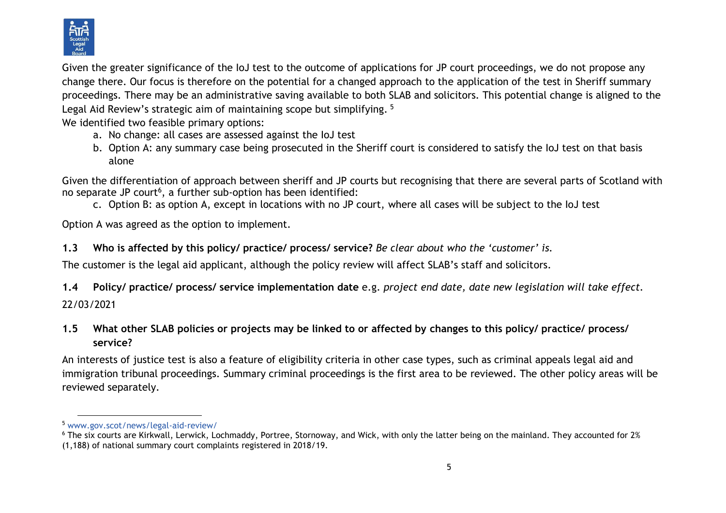

Given the greater significance of the IoJ test to the outcome of applications for JP court proceedings, we do not propose any change there. Our focus is therefore on the potential for a changed approach to the application of the test in Sheriff summary proceedings. There may be an administrative saving available to both SLAB and solicitors. This potential change is aligned to the Legal Aid Review's strategic aim of maintaining scope but simplifying.<sup>5</sup>

We identified two feasible primary options:

- a. No change: all cases are assessed against the IoJ test
- b. Option A: any summary case being prosecuted in the Sheriff court is considered to satisfy the IoJ test on that basis alone

Given the differentiation of approach between sheriff and JP courts but recognising that there are several parts of Scotland with no separate JP court<sup>6</sup>, a further sub-option has been identified:

c. Option B: as option A, except in locations with no JP court, where all cases will be subject to the IoJ test

Option A was agreed as the option to implement.

## **1.3 Who is affected by this policy/ practice/ process/ service?** *Be clear about who the 'customer' is.*

The customer is the legal aid applicant, although the policy review will affect SLAB's staff and solicitors.

**1.4 Policy/ practice/ process/ service implementation date** e.g. *project end date, date new legislation will take effect.* 22/03/2021

## **1.5 What other SLAB policies or projects may be linked to or affected by changes to this policy/ practice/ process/ service?**

An interests of justice test is also a feature of eligibility criteria in other case types, such as criminal appeals legal aid and immigration tribunal proceedings. Summary criminal proceedings is the first area to be reviewed. The other policy areas will be reviewed separately.

l <sup>5</sup> [www.gov.scot/news/legal-aid-review/](http://www.gov.scot/news/legal-aid-review/)

 $6$  The six courts are Kirkwall, Lerwick, Lochmaddy, Portree, Stornoway, and Wick, with only the latter being on the mainland. They accounted for 2% (1,188) of national summary court complaints registered in 2018/19.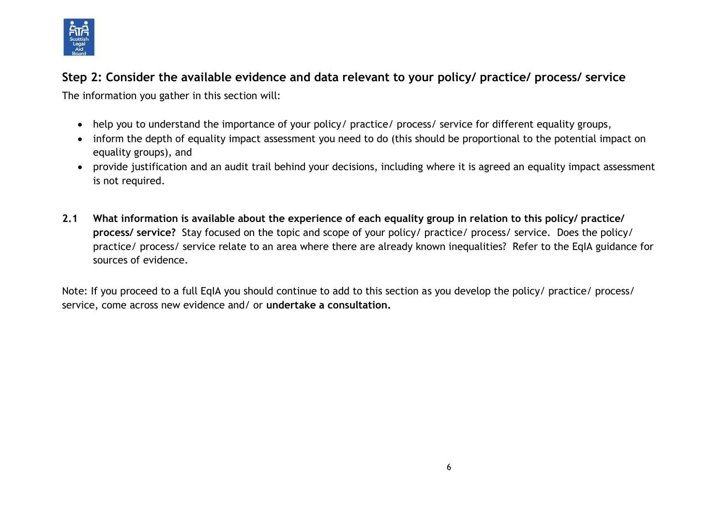

# **Step 2: Consider the available evidence and data relevant to your policy/ practice/ process/ service**

The information you gather in this section will:

- help you to understand the importance of your policy/ practice/ process/ service for different equality groups,
- inform the depth of equality impact assessment you need to do (this should be proportional to the potential impact on equality groups), and
- provide justification and an audit trail behind your decisions, including where it is agreed an equality impact assessment is not required.
- **2.1 What information is available about the experience of each equality group in relation to this policy/ practice/ process/ service?** Stay focused on the topic and scope of your policy/ practice/ process/ service. Does the policy/ practice/ process/ service relate to an area where there are already known inequalities? Refer to the EqIA guidance for sources of evidence.

Note: If you proceed to a full EqIA you should continue to add to this section as you develop the policy/ practice/ process/ service, come across new evidence and/ or **undertake a consultation.**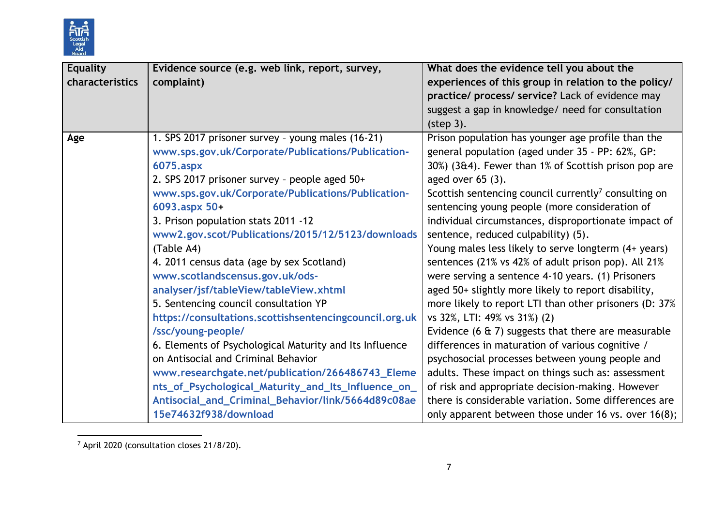

| <b>Equality</b> | Evidence source (e.g. web link, report, survey,         | What does the evidence tell you about the                        |
|-----------------|---------------------------------------------------------|------------------------------------------------------------------|
| characteristics | complaint)                                              | experiences of this group in relation to the policy/             |
|                 |                                                         | practice/ process/ service? Lack of evidence may                 |
|                 |                                                         | suggest a gap in knowledge/ need for consultation                |
|                 |                                                         | (step 3).                                                        |
| Age             | 1. SPS 2017 prisoner survey - young males (16-21)       | Prison population has younger age profile than the               |
|                 | www.sps.gov.uk/Corporate/Publications/Publication-      | general population (aged under 35 - PP: 62%, GP:                 |
|                 | 6075.aspx                                               | 30%) (3&4). Fewer than 1% of Scottish prison pop are             |
|                 | 2. SPS 2017 prisoner survey - people aged 50+           | aged over $65(3)$ .                                              |
|                 | www.sps.gov.uk/Corporate/Publications/Publication-      | Scottish sentencing council currently <sup>7</sup> consulting on |
|                 | 6093.aspx 50+                                           | sentencing young people (more consideration of                   |
|                 | 3. Prison population stats 2011 -12                     | individual circumstances, disproportionate impact of             |
|                 | www2.gov.scot/Publications/2015/12/5123/downloads       | sentence, reduced culpability) (5).                              |
|                 | (Table A4)                                              | Young males less likely to serve longterm (4+ years)             |
|                 | 4. 2011 census data (age by sex Scotland)               | sentences (21% vs 42% of adult prison pop). All 21%              |
|                 | www.scotlandscensus.gov.uk/ods-                         | were serving a sentence 4-10 years. (1) Prisoners                |
|                 | analyser/jsf/tableView/tableView.xhtml                  | aged 50+ slightly more likely to report disability,              |
|                 | 5. Sentencing council consultation YP                   | more likely to report LTI than other prisoners (D: 37%)          |
|                 | https://consultations.scottishsentencingcouncil.org.uk  | vs 32%, LTI: 49% vs 31%) (2)                                     |
|                 | /ssc/young-people/                                      | Evidence (6 $\pm$ 7) suggests that there are measurable          |
|                 | 6. Elements of Psychological Maturity and Its Influence | differences in maturation of various cognitive /                 |
|                 | on Antisocial and Criminal Behavior                     | psychosocial processes between young people and                  |
|                 | www.researchgate.net/publication/266486743_Eleme        | adults. These impact on things such as: assessment               |
|                 | nts_of_Psychological_Maturity_and_Its_Influence_on_     | of risk and appropriate decision-making. However                 |
|                 | Antisocial_and_Criminal_Behavior/link/5664d89c08ae      | there is considerable variation. Some differences are            |
|                 | 15e74632f938/download                                   | only apparent between those under 16 vs. over 16(8);             |

l  $7$  April 2020 (consultation closes 21/8/20).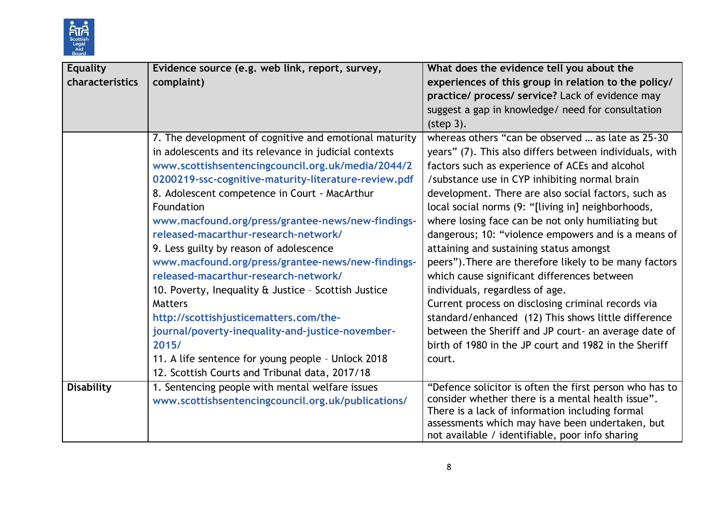

| <b>Equality</b>   | Evidence source (e.g. web link, report, survey,        | What does the evidence tell you about the               |
|-------------------|--------------------------------------------------------|---------------------------------------------------------|
| characteristics   | complaint)                                             | experiences of this group in relation to the policy/    |
|                   |                                                        | practice/ process/ service? Lack of evidence may        |
|                   |                                                        | suggest a gap in knowledge/ need for consultation       |
|                   |                                                        | (step 3).                                               |
|                   | 7. The development of cognitive and emotional maturity | whereas others "can be observed  as late as 25-30       |
|                   | in adolescents and its relevance in judicial contexts  | years" (7). This also differs between individuals, with |
|                   | www.scottishsentencingcouncil.org.uk/media/2044/2      | factors such as experience of ACEs and alcohol          |
|                   | 0200219-ssc-cognitive-maturity-literature-review.pdf   | /substance use in CYP inhibiting normal brain           |
|                   | 8. Adolescent competence in Court - MacArthur          | development. There are also social factors, such as     |
|                   | Foundation                                             | local social norms (9: "[living in] neighborhoods,      |
|                   | www.macfound.org/press/grantee-news/new-findings-      | where losing face can be not only humiliating but       |
|                   | released-macarthur-research-network/                   | dangerous; 10: "violence empowers and is a means of     |
|                   | 9. Less guilty by reason of adolescence                | attaining and sustaining status amongst                 |
|                   | www.macfound.org/press/grantee-news/new-findings-      | peers"). There are therefore likely to be many factors  |
|                   | released-macarthur-research-network/                   | which cause significant differences between             |
|                   | 10. Poverty, Inequality & Justice - Scottish Justice   | individuals, regardless of age.                         |
|                   | <b>Matters</b>                                         | Current process on disclosing criminal records via      |
|                   | http://scottishjusticematters.com/the-                 | standard/enhanced (12) This shows little difference     |
|                   | journal/poverty-inequality-and-justice-november-       | between the Sheriff and JP court- an average date of    |
|                   | 2015/                                                  | birth of 1980 in the JP court and 1982 in the Sheriff   |
|                   | 11. A life sentence for young people - Unlock 2018     | court.                                                  |
|                   | 12. Scottish Courts and Tribunal data, 2017/18         |                                                         |
| <b>Disability</b> | 1. Sentencing people with mental welfare issues        | "Defence solicitor is often the first person who has to |
|                   | www.scottishsentencingcouncil.org.uk/publications/     | consider whether there is a mental health issue".       |
|                   |                                                        | There is a lack of information including formal         |
|                   |                                                        | assessments which may have been undertaken, but         |
|                   |                                                        | not available / identifiable, poor info sharing         |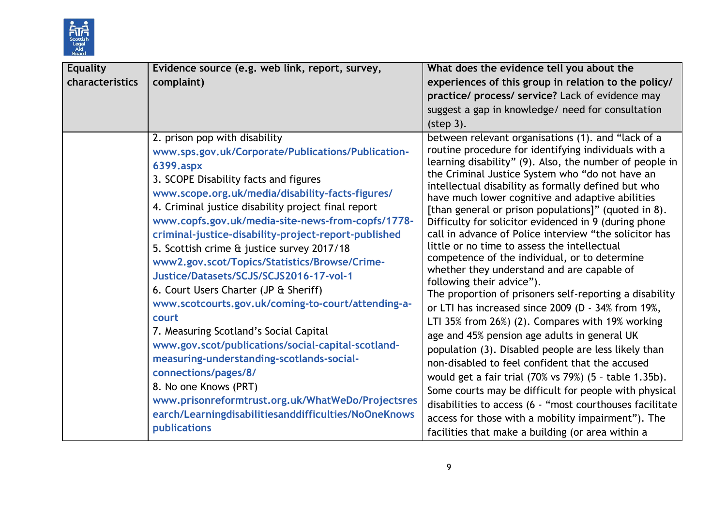

| <b>Equality</b><br>characteristics | Evidence source (e.g. web link, report, survey,<br>complaint)                                                                                                                                                                                                                                                                                                                                                                                                                                                                                                                                                                                                                                                                                                                                                                                                                                                                                  | What does the evidence tell you about the<br>experiences of this group in relation to the policy/<br>practice/ process/ service? Lack of evidence may<br>suggest a gap in knowledge/ need for consultation<br>(step 3).                                                                                                                                                                                                                                                                                                                                                                                                                                                                                                                                                                                                                                                                                                                                                                                                                                                                                                                                                                                                                                                                                              |
|------------------------------------|------------------------------------------------------------------------------------------------------------------------------------------------------------------------------------------------------------------------------------------------------------------------------------------------------------------------------------------------------------------------------------------------------------------------------------------------------------------------------------------------------------------------------------------------------------------------------------------------------------------------------------------------------------------------------------------------------------------------------------------------------------------------------------------------------------------------------------------------------------------------------------------------------------------------------------------------|----------------------------------------------------------------------------------------------------------------------------------------------------------------------------------------------------------------------------------------------------------------------------------------------------------------------------------------------------------------------------------------------------------------------------------------------------------------------------------------------------------------------------------------------------------------------------------------------------------------------------------------------------------------------------------------------------------------------------------------------------------------------------------------------------------------------------------------------------------------------------------------------------------------------------------------------------------------------------------------------------------------------------------------------------------------------------------------------------------------------------------------------------------------------------------------------------------------------------------------------------------------------------------------------------------------------|
|                                    | 2. prison pop with disability<br>www.sps.gov.uk/Corporate/Publications/Publication-<br>6399.aspx<br>3. SCOPE Disability facts and figures<br>www.scope.org.uk/media/disability-facts-figures/<br>4. Criminal justice disability project final report<br>www.copfs.gov.uk/media-site-news-from-copfs/1778-<br>criminal-justice-disability-project-report-published<br>5. Scottish crime & justice survey 2017/18<br>www2.gov.scot/Topics/Statistics/Browse/Crime-<br>Justice/Datasets/SCJS/SCJS2016-17-vol-1<br>6. Court Users Charter (JP & Sheriff)<br>www.scotcourts.gov.uk/coming-to-court/attending-a-<br>court<br>7. Measuring Scotland's Social Capital<br>www.gov.scot/publications/social-capital-scotland-<br>measuring-understanding-scotlands-social-<br>connections/pages/8/<br>8. No one Knows (PRT)<br>www.prisonreformtrust.org.uk/WhatWeDo/Projectsres<br>earch/Learningdisabilitiesanddifficulties/NoOneKnows<br>publications | between relevant organisations (1). and "lack of a<br>routine procedure for identifying individuals with a<br>learning disability" (9). Also, the number of people in<br>the Criminal Justice System who "do not have an<br>intellectual disability as formally defined but who<br>have much lower cognitive and adaptive abilities<br>[than general or prison populations]" (quoted in 8).<br>Difficulty for solicitor evidenced in 9 (during phone<br>call in advance of Police interview "the solicitor has<br>little or no time to assess the intellectual<br>competence of the individual, or to determine<br>whether they understand and are capable of<br>following their advice").<br>The proportion of prisoners self-reporting a disability<br>or LTI has increased since 2009 (D - 34% from 19%,<br>LTI 35% from 26%) (2). Compares with 19% working<br>age and 45% pension age adults in general UK<br>population (3). Disabled people are less likely than<br>non-disabled to feel confident that the accused<br>would get a fair trial (70% vs 79%) (5 - table 1.35b).<br>Some courts may be difficult for people with physical<br>disabilities to access (6 - "most courthouses facilitate<br>access for those with a mobility impairment"). The<br>facilities that make a building (or area within a |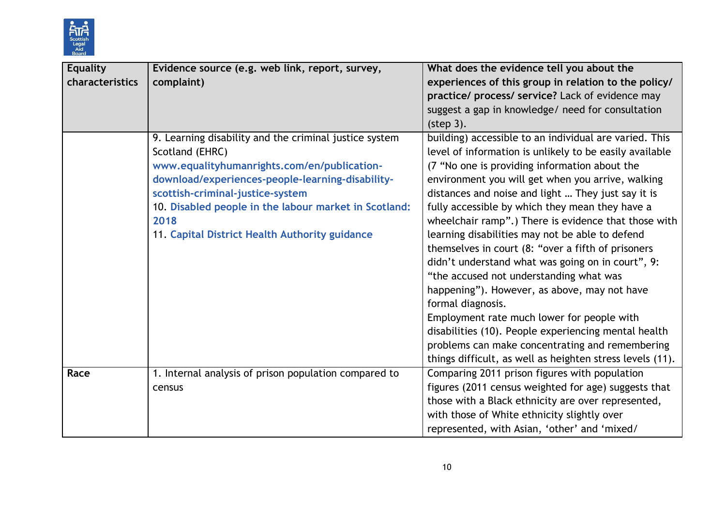

| Equality        | Evidence source (e.g. web link, report, survey,        | What does the evidence tell you about the                 |
|-----------------|--------------------------------------------------------|-----------------------------------------------------------|
| characteristics | complaint)                                             | experiences of this group in relation to the policy/      |
|                 |                                                        | practice/ process/ service? Lack of evidence may          |
|                 |                                                        | suggest a gap in knowledge/ need for consultation         |
|                 |                                                        | (step 3).                                                 |
|                 | 9. Learning disability and the criminal justice system | building) accessible to an individual are varied. This    |
|                 | Scotland (EHRC)                                        | level of information is unlikely to be easily available   |
|                 | www.equalityhumanrights.com/en/publication-            | (7 "No one is providing information about the             |
|                 | download/experiences-people-learning-disability-       | environment you will get when you arrive, walking         |
|                 | scottish-criminal-justice-system                       | distances and noise and light  They just say it is        |
|                 | 10. Disabled people in the labour market in Scotland:  | fully accessible by which they mean they have a           |
|                 | 2018                                                   | wheelchair ramp".) There is evidence that those with      |
|                 | 11. Capital District Health Authority guidance         | learning disabilities may not be able to defend           |
|                 |                                                        | themselves in court (8: "over a fifth of prisoners        |
|                 |                                                        | didn't understand what was going on in court", 9:         |
|                 |                                                        | "the accused not understanding what was                   |
|                 |                                                        | happening"). However, as above, may not have              |
|                 |                                                        | formal diagnosis.                                         |
|                 |                                                        | Employment rate much lower for people with                |
|                 |                                                        | disabilities (10). People experiencing mental health      |
|                 |                                                        | problems can make concentrating and remembering           |
|                 |                                                        | things difficult, as well as heighten stress levels (11). |
| Race            | 1. Internal analysis of prison population compared to  | Comparing 2011 prison figures with population             |
|                 | census                                                 | figures (2011 census weighted for age) suggests that      |
|                 |                                                        | those with a Black ethnicity are over represented,        |
|                 |                                                        | with those of White ethnicity slightly over               |
|                 |                                                        | represented, with Asian, 'other' and 'mixed/              |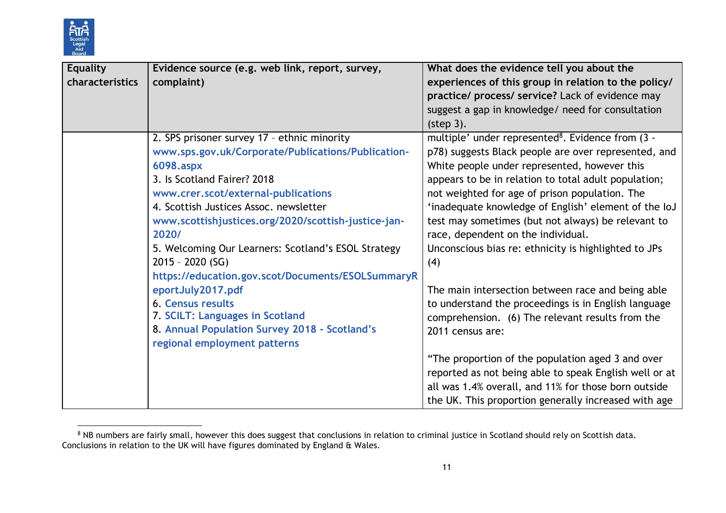

l

| <b>Equality</b><br>characteristics | Evidence source (e.g. web link, report, survey,<br>complaint)                                                                                                                                                                                                                                                                                                                                                                    | What does the evidence tell you about the<br>experiences of this group in relation to the policy/<br>practice/ process/ service? Lack of evidence may<br>suggest a gap in knowledge/ need for consultation<br>(step 3).                                                                                                                                                                                                                                                                            |
|------------------------------------|----------------------------------------------------------------------------------------------------------------------------------------------------------------------------------------------------------------------------------------------------------------------------------------------------------------------------------------------------------------------------------------------------------------------------------|----------------------------------------------------------------------------------------------------------------------------------------------------------------------------------------------------------------------------------------------------------------------------------------------------------------------------------------------------------------------------------------------------------------------------------------------------------------------------------------------------|
|                                    | 2. SPS prisoner survey 17 - ethnic minority<br>www.sps.gov.uk/Corporate/Publications/Publication-<br>6098.aspx<br>3. Is Scotland Fairer? 2018<br>www.crer.scot/external-publications<br>4. Scottish Justices Assoc. newsletter<br>www.scottishjustices.org/2020/scottish-justice-jan-<br>2020/<br>5. Welcoming Our Learners: Scotland's ESOL Strategy<br>$2015 - 2020$ (SG)<br>https://education.gov.scot/Documents/ESOLSummaryR | multiple' under represented <sup>8</sup> . Evidence from (3 -<br>p78) suggests Black people are over represented, and<br>White people under represented, however this<br>appears to be in relation to total adult population;<br>not weighted for age of prison population. The<br>'inadequate knowledge of English' element of the IoJ<br>test may sometimes (but not always) be relevant to<br>race, dependent on the individual.<br>Unconscious bias re: ethnicity is highlighted to JPs<br>(4) |
|                                    | eportJuly2017.pdf<br>6. Census results<br>7. SCILT: Languages in Scotland<br>8. Annual Population Survey 2018 - Scotland's<br>regional employment patterns                                                                                                                                                                                                                                                                       | The main intersection between race and being able<br>to understand the proceedings is in English language<br>comprehension. (6) The relevant results from the<br>2011 census are:<br>"The proportion of the population aged 3 and over<br>reported as not being able to speak English well or at<br>all was 1.4% overall, and 11% for those born outside<br>the UK. This proportion generally increased with age                                                                                   |

 $8$  NB numbers are fairly small, however this does suggest that conclusions in relation to criminal justice in Scotland should rely on Scottish data. Conclusions in relation to the UK will have figures dominated by England & Wales.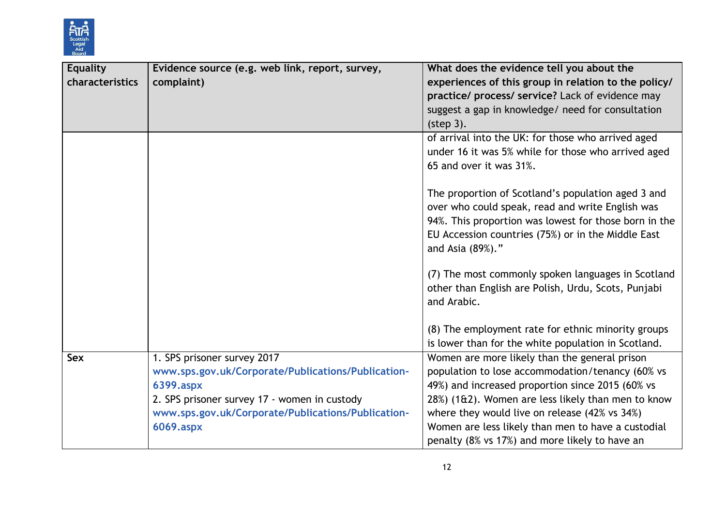

| <b>Equality</b><br>characteristics | Evidence source (e.g. web link, report, survey,<br>complaint)                                                                                                                                                     | What does the evidence tell you about the<br>experiences of this group in relation to the policy/<br>practice/ process/ service? Lack of evidence may<br>suggest a gap in knowledge/ need for consultation<br>(step 3).                                                                                                                                              |
|------------------------------------|-------------------------------------------------------------------------------------------------------------------------------------------------------------------------------------------------------------------|----------------------------------------------------------------------------------------------------------------------------------------------------------------------------------------------------------------------------------------------------------------------------------------------------------------------------------------------------------------------|
|                                    |                                                                                                                                                                                                                   | of arrival into the UK: for those who arrived aged<br>under 16 it was 5% while for those who arrived aged<br>65 and over it was 31%.                                                                                                                                                                                                                                 |
|                                    |                                                                                                                                                                                                                   | The proportion of Scotland's population aged 3 and<br>over who could speak, read and write English was<br>94%. This proportion was lowest for those born in the<br>EU Accession countries (75%) or in the Middle East<br>and Asia (89%)."                                                                                                                            |
|                                    |                                                                                                                                                                                                                   | (7) The most commonly spoken languages in Scotland<br>other than English are Polish, Urdu, Scots, Punjabi<br>and Arabic.                                                                                                                                                                                                                                             |
|                                    |                                                                                                                                                                                                                   | (8) The employment rate for ethnic minority groups<br>is lower than for the white population in Scotland.                                                                                                                                                                                                                                                            |
| Sex                                | 1. SPS prisoner survey 2017<br>www.sps.gov.uk/Corporate/Publications/Publication-<br>6399.aspx<br>2. SPS prisoner survey 17 - women in custody<br>www.sps.gov.uk/Corporate/Publications/Publication-<br>6069.aspx | Women are more likely than the general prison<br>population to lose accommodation/tenancy (60% vs<br>49%) and increased proportion since 2015 (60% vs<br>28%) (1&2). Women are less likely than men to know<br>where they would live on release (42% vs 34%)<br>Women are less likely than men to have a custodial<br>penalty (8% vs 17%) and more likely to have an |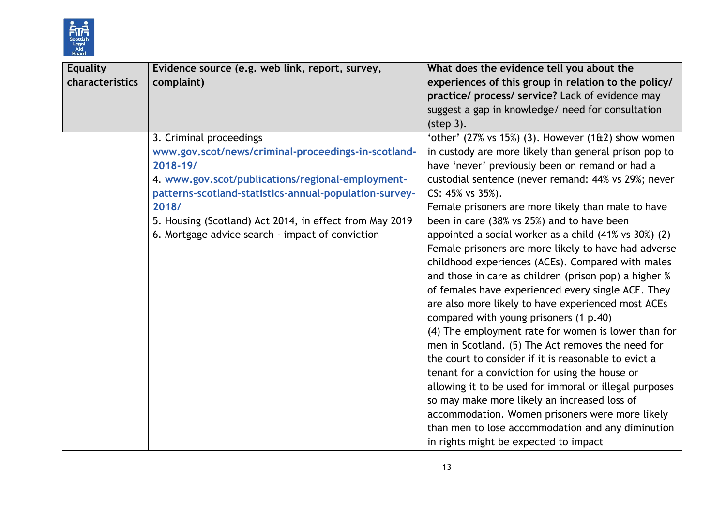

| <b>Equality</b> | Evidence source (e.g. web link, report, survey,         | What does the evidence tell you about the                                 |
|-----------------|---------------------------------------------------------|---------------------------------------------------------------------------|
| characteristics | complaint)                                              | experiences of this group in relation to the policy/                      |
|                 |                                                         | practice/ process/ service? Lack of evidence may                          |
|                 |                                                         | suggest a gap in knowledge/ need for consultation                         |
|                 |                                                         | (step 3).                                                                 |
|                 | 3. Criminal proceedings                                 | 'other' $(27\% \text{ vs } 15\%)$ (3). However $(1\text{ft2})$ show women |
|                 | www.gov.scot/news/criminal-proceedings-in-scotland-     | in custody are more likely than general prison pop to                     |
|                 | 2018-19/                                                | have 'never' previously been on remand or had a                           |
|                 | 4. www.gov.scot/publications/regional-employment-       | custodial sentence (never remand: 44% vs 29%; never                       |
|                 | patterns-scotland-statistics-annual-population-survey-  | $CS: 45\%$ vs $35\%$ ).                                                   |
|                 | 2018/                                                   | Female prisoners are more likely than male to have                        |
|                 | 5. Housing (Scotland) Act 2014, in effect from May 2019 | been in care (38% vs 25%) and to have been                                |
|                 | 6. Mortgage advice search - impact of conviction        | appointed a social worker as a child (41% vs 30%) (2)                     |
|                 |                                                         | Female prisoners are more likely to have had adverse                      |
|                 |                                                         | childhood experiences (ACEs). Compared with males                         |
|                 |                                                         | and those in care as children (prison pop) a higher %                     |
|                 |                                                         | of females have experienced every single ACE. They                        |
|                 |                                                         | are also more likely to have experienced most ACEs                        |
|                 |                                                         | compared with young prisoners (1 p.40)                                    |
|                 |                                                         | (4) The employment rate for women is lower than for                       |
|                 |                                                         | men in Scotland. (5) The Act removes the need for                         |
|                 |                                                         | the court to consider if it is reasonable to evict a                      |
|                 |                                                         | tenant for a conviction for using the house or                            |
|                 |                                                         | allowing it to be used for immoral or illegal purposes                    |
|                 |                                                         | so may make more likely an increased loss of                              |
|                 |                                                         | accommodation. Women prisoners were more likely                           |
|                 |                                                         | than men to lose accommodation and any diminution                         |
|                 |                                                         | in rights might be expected to impact                                     |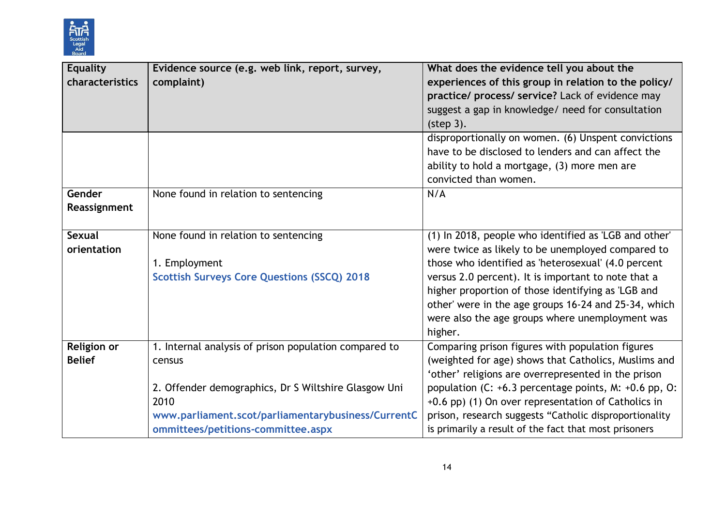

| <b>Equality</b><br>characteristics | Evidence source (e.g. web link, report, survey,<br>complaint)                                                                                                                                                               | What does the evidence tell you about the<br>experiences of this group in relation to the policy/<br>practice/ process/ service? Lack of evidence may<br>suggest a gap in knowledge/ need for consultation<br>(step 3).                                                                                                                                                                              |
|------------------------------------|-----------------------------------------------------------------------------------------------------------------------------------------------------------------------------------------------------------------------------|------------------------------------------------------------------------------------------------------------------------------------------------------------------------------------------------------------------------------------------------------------------------------------------------------------------------------------------------------------------------------------------------------|
|                                    |                                                                                                                                                                                                                             | disproportionally on women. (6) Unspent convictions<br>have to be disclosed to lenders and can affect the<br>ability to hold a mortgage, (3) more men are<br>convicted than women.                                                                                                                                                                                                                   |
| Gender<br>Reassignment             | None found in relation to sentencing                                                                                                                                                                                        | N/A                                                                                                                                                                                                                                                                                                                                                                                                  |
| <b>Sexual</b><br>orientation       | None found in relation to sentencing<br>1. Employment<br><b>Scottish Surveys Core Questions (SSCQ) 2018</b>                                                                                                                 | (1) In 2018, people who identified as 'LGB and other'<br>were twice as likely to be unemployed compared to<br>those who identified as 'heterosexual' (4.0 percent<br>versus 2.0 percent). It is important to note that a<br>higher proportion of those identifying as 'LGB and<br>other' were in the age groups 16-24 and 25-34, which<br>were also the age groups where unemployment was<br>higher. |
| Religion or<br><b>Belief</b>       | 1. Internal analysis of prison population compared to<br>census<br>2. Offender demographics, Dr S Wiltshire Glasgow Uni<br>2010<br>www.parliament.scot/parliamentarybusiness/CurrentC<br>ommittees/petitions-committee.aspx | Comparing prison figures with population figures<br>(weighted for age) shows that Catholics, Muslims and<br>'other' religions are overrepresented in the prison<br>population (C: +6.3 percentage points, M: +0.6 pp, O:<br>+0.6 pp) (1) On over representation of Catholics in<br>prison, research suggests "Catholic disproportionality<br>is primarily a result of the fact that most prisoners   |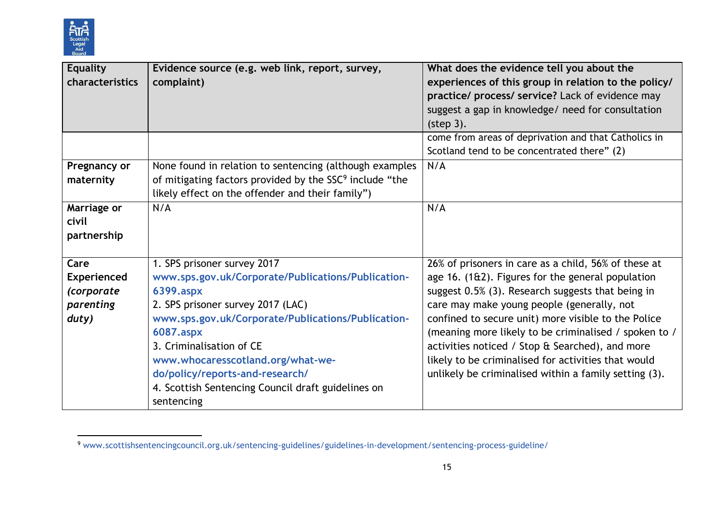

| <b>Equality</b>    | Evidence source (e.g. web link, report, survey,                     | What does the evidence tell you about the                       |
|--------------------|---------------------------------------------------------------------|-----------------------------------------------------------------|
| characteristics    | complaint)                                                          | experiences of this group in relation to the policy/            |
|                    |                                                                     | practice/ process/ service? Lack of evidence may                |
|                    |                                                                     | suggest a gap in knowledge/ need for consultation               |
|                    |                                                                     | (step 3).                                                       |
|                    |                                                                     | come from areas of deprivation and that Catholics in            |
|                    |                                                                     | Scotland tend to be concentrated there" (2)                     |
| Pregnancy or       | None found in relation to sentencing (although examples             | N/A                                                             |
| maternity          | of mitigating factors provided by the SSC <sup>9</sup> include "the |                                                                 |
|                    | likely effect on the offender and their family")                    |                                                                 |
| Marriage or        | N/A                                                                 | N/A                                                             |
| civil              |                                                                     |                                                                 |
| partnership        |                                                                     |                                                                 |
|                    |                                                                     |                                                                 |
| Care               | 1. SPS prisoner survey 2017                                         | 26% of prisoners in care as a child, 56% of these at            |
| <b>Experienced</b> | www.sps.gov.uk/Corporate/Publications/Publication-                  | age $16.$ (1 $\text{ft2}$ ). Figures for the general population |
| (corporate         | 6399.aspx                                                           | suggest 0.5% (3). Research suggests that being in               |
| parenting          | 2. SPS prisoner survey 2017 (LAC)                                   | care may make young people (generally, not                      |
| duty)              | www.sps.gov.uk/Corporate/Publications/Publication-                  | confined to secure unit) more visible to the Police             |
|                    | 6087.aspx                                                           | (meaning more likely to be criminalised / spoken to /           |
|                    | 3. Criminalisation of CE                                            | activities noticed / Stop & Searched), and more                 |
|                    | www.whocaresscotland.org/what-we-                                   | likely to be criminalised for activities that would             |
|                    | do/policy/reports-and-research/                                     | unlikely be criminalised within a family setting (3).           |
|                    | 4. Scottish Sentencing Council draft guidelines on                  |                                                                 |
|                    | sentencing                                                          |                                                                 |

l <sup>9</sup> [www.scottishsentencingcouncil.org.uk/sentencing-guidelines/guidelines-in-development/sentencing-process-guideline/](http://www.scottishsentencingcouncil.org.uk/sentencing-guidelines/guidelines-in-development/sentencing-process-guideline/)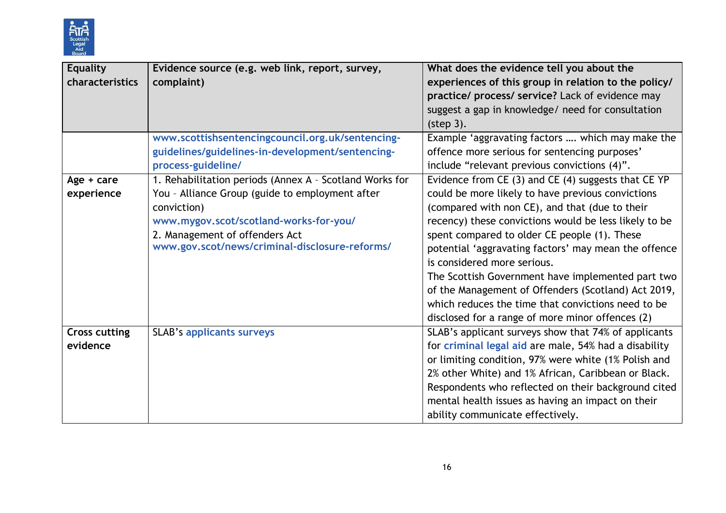

| <b>Equality</b>      | Evidence source (e.g. web link, report, survey,         | What does the evidence tell you about the                                                                |
|----------------------|---------------------------------------------------------|----------------------------------------------------------------------------------------------------------|
| characteristics      | complaint)                                              | experiences of this group in relation to the policy/<br>practice/ process/ service? Lack of evidence may |
|                      |                                                         | suggest a gap in knowledge/ need for consultation                                                        |
|                      |                                                         | (step 3).                                                                                                |
|                      | www.scottishsentencingcouncil.org.uk/sentencing-        | Example 'aggravating factors  which may make the                                                         |
|                      | guidelines/guidelines-in-development/sentencing-        | offence more serious for sentencing purposes'                                                            |
|                      | process-guideline/                                      | include "relevant previous convictions (4)".                                                             |
| Age + care           | 1. Rehabilitation periods (Annex A - Scotland Works for | Evidence from CE (3) and CE (4) suggests that CE YP                                                      |
| experience           | You - Alliance Group (guide to employment after         | could be more likely to have previous convictions                                                        |
|                      | conviction)                                             | (compared with non CE), and that (due to their                                                           |
|                      | www.mygov.scot/scotland-works-for-you/                  | recency) these convictions would be less likely to be                                                    |
|                      | 2. Management of offenders Act                          | spent compared to older CE people (1). These                                                             |
|                      | www.gov.scot/news/criminal-disclosure-reforms/          | potential 'aggravating factors' may mean the offence                                                     |
|                      |                                                         | is considered more serious.                                                                              |
|                      |                                                         | The Scottish Government have implemented part two                                                        |
|                      |                                                         | of the Management of Offenders (Scotland) Act 2019,                                                      |
|                      |                                                         | which reduces the time that convictions need to be                                                       |
|                      |                                                         | disclosed for a range of more minor offences (2)                                                         |
| <b>Cross cutting</b> | <b>SLAB's applicants surveys</b>                        | SLAB's applicant surveys show that 74% of applicants                                                     |
| evidence             |                                                         | for criminal legal aid are male, 54% had a disability                                                    |
|                      |                                                         | or limiting condition, 97% were white (1% Polish and                                                     |
|                      |                                                         | 2% other White) and 1% African, Caribbean or Black.                                                      |
|                      |                                                         | Respondents who reflected on their background cited                                                      |
|                      |                                                         | mental health issues as having an impact on their                                                        |
|                      |                                                         | ability communicate effectively.                                                                         |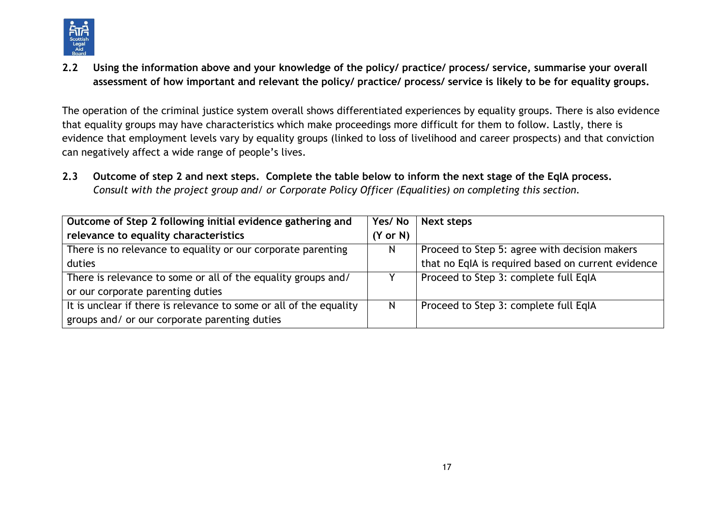

**2.2 Using the information above and your knowledge of the policy/ practice/ process/ service, summarise your overall assessment of how important and relevant the policy/ practice/ process/ service is likely to be for equality groups.**

The operation of the criminal justice system overall shows differentiated experiences by equality groups. There is also evidence that equality groups may have characteristics which make proceedings more difficult for them to follow. Lastly, there is evidence that employment levels vary by equality groups (linked to loss of livelihood and career prospects) and that conviction can negatively affect a wide range of people's lives.

**2.3 Outcome of step 2 and next steps. Complete the table below to inform the next stage of the EqIA process.**  *Consult with the project group and/ or Corporate Policy Officer (Equalities) on completing this section.*

| Outcome of Step 2 following initial evidence gathering and         |                     | Next steps                                         |
|--------------------------------------------------------------------|---------------------|----------------------------------------------------|
| relevance to equality characteristics                              | $(Y \text{ or } N)$ |                                                    |
| There is no relevance to equality or our corporate parenting       |                     | Proceed to Step 5: agree with decision makers      |
| duties                                                             |                     | that no EqIA is required based on current evidence |
| There is relevance to some or all of the equality groups and/      |                     | Proceed to Step 3: complete full EqIA              |
| or our corporate parenting duties                                  |                     |                                                    |
| It is unclear if there is relevance to some or all of the equality | N                   | Proceed to Step 3: complete full EqIA              |
| groups and/ or our corporate parenting duties                      |                     |                                                    |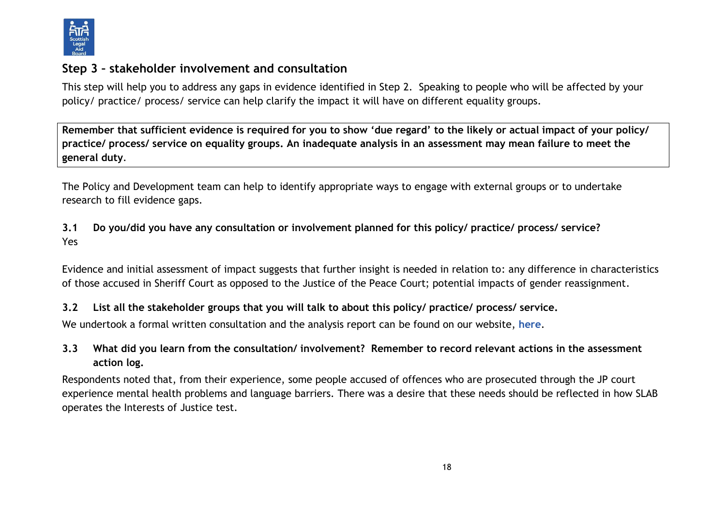

## **Step 3 – stakeholder involvement and consultation**

This step will help you to address any gaps in evidence identified in Step 2. Speaking to people who will be affected by your policy/ practice/ process/ service can help clarify the impact it will have on different equality groups.

**Remember that sufficient evidence is required for you to show 'due regard' to the likely or actual impact of your policy/ practice/ process/ service on equality groups. An inadequate analysis in an assessment may mean failure to meet the general duty**.

The Policy and Development team can help to identify appropriate ways to engage with external groups or to undertake research to fill evidence gaps.

**3.1 Do you/did you have any consultation or involvement planned for this policy/ practice/ process/ service?**  Yes

Evidence and initial assessment of impact suggests that further insight is needed in relation to: any difference in characteristics of those accused in Sheriff Court as opposed to the Justice of the Peace Court; potential impacts of gender reassignment.

### **3.2 List all the stakeholder groups that you will talk to about this policy/ practice/ process/ service.**

We undertook a formal written consultation and the analysis report can be found on our website, **[here](https://www.slab.org.uk/app/uploads/2021/03/IoJ-consultation-analysis.pdf)**.

## **3.3 What did you learn from the consultation/ involvement? Remember to record relevant actions in the assessment action log.**

Respondents noted that, from their experience, some people accused of offences who are prosecuted through the JP court experience mental health problems and language barriers. There was a desire that these needs should be reflected in how SLAB operates the Interests of Justice test.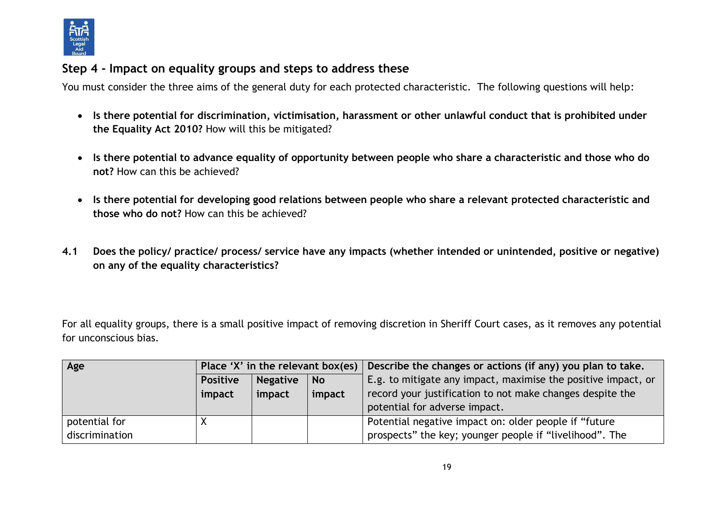

## **Step 4 - Impact on equality groups and steps to address these**

You must consider the three aims of the general duty for each protected characteristic. The following questions will help:

- **Is there potential for discrimination, victimisation, harassment or other unlawful conduct that is prohibited under the Equality Act 2010?** How will this be mitigated?
- **Is there potential to advance equality of opportunity between people who share a characteristic and those who do not?** How can this be achieved?
- **Is there potential for developing good relations between people who share a relevant protected characteristic and those who do not?** How can this be achieved?
- **4.1 Does the policy/ practice/ process/ service have any impacts (whether intended or unintended, positive or negative) on any of the equality characteristics?**

For all equality groups, there is a small positive impact of removing discretion in Sheriff Court cases, as it removes any potential for unconscious bias.

| Age            | Place 'X' in the relevant box(es)               |        |        | Describe the changes or actions (if any) you plan to take.    |
|----------------|-------------------------------------------------|--------|--------|---------------------------------------------------------------|
|                | <b>Negative</b><br><b>Positive</b><br><b>No</b> |        |        | E.g. to mitigate any impact, maximise the positive impact, or |
|                | impact                                          | impact | impact | record your justification to not make changes despite the     |
|                |                                                 |        |        | potential for adverse impact.                                 |
| potential for  |                                                 |        |        | Potential negative impact on: older people if "future"        |
| discrimination |                                                 |        |        | prospects" the key; younger people if "livelihood". The       |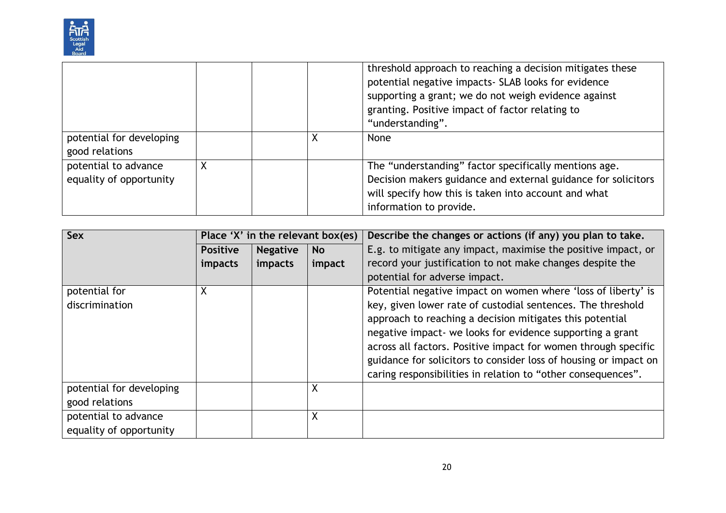

|                                                 |  | threshold approach to reaching a decision mitigates these<br>potential negative impacts- SLAB looks for evidence<br>supporting a grant; we do not weigh evidence against<br>granting. Positive impact of factor relating to<br>"understanding". |
|-------------------------------------------------|--|-------------------------------------------------------------------------------------------------------------------------------------------------------------------------------------------------------------------------------------------------|
| potential for developing<br>good relations      |  | None                                                                                                                                                                                                                                            |
| potential to advance<br>equality of opportunity |  | The "understanding" factor specifically mentions age.<br>Decision makers guidance and external guidance for solicitors<br>will specify how this is taken into account and what<br>information to provide.                                       |

| Sex                      |                 | Place 'X' in the relevant box(es) |           | Describe the changes or actions (if any) you plan to take.       |
|--------------------------|-----------------|-----------------------------------|-----------|------------------------------------------------------------------|
|                          | <b>Positive</b> | <b>Negative</b>                   | <b>No</b> | E.g. to mitigate any impact, maximise the positive impact, or    |
|                          | impacts         | impacts                           | impact    | record your justification to not make changes despite the        |
|                          |                 |                                   |           | potential for adverse impact.                                    |
| potential for            | X               |                                   |           | Potential negative impact on women where 'loss of liberty' is    |
| discrimination           |                 |                                   |           | key, given lower rate of custodial sentences. The threshold      |
|                          |                 |                                   |           | approach to reaching a decision mitigates this potential         |
|                          |                 |                                   |           | negative impact- we looks for evidence supporting a grant        |
|                          |                 |                                   |           | across all factors. Positive impact for women through specific   |
|                          |                 |                                   |           | guidance for solicitors to consider loss of housing or impact on |
|                          |                 |                                   |           | caring responsibilities in relation to "other consequences".     |
| potential for developing |                 |                                   | Χ         |                                                                  |
| good relations           |                 |                                   |           |                                                                  |
| potential to advance     |                 |                                   | Χ         |                                                                  |
| equality of opportunity  |                 |                                   |           |                                                                  |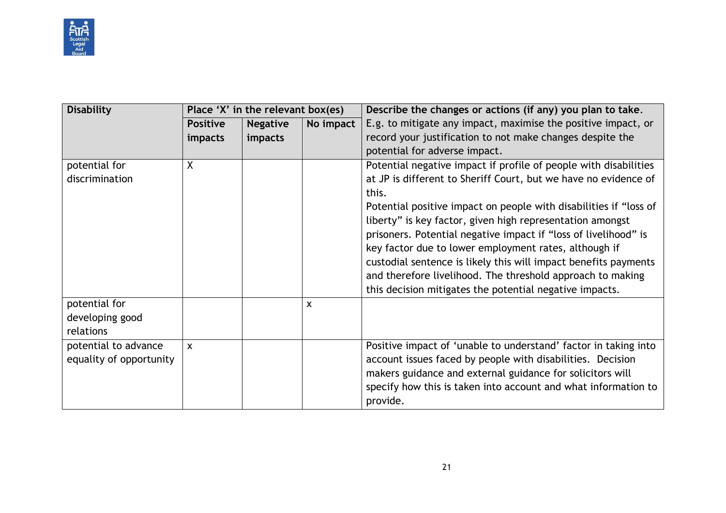

| <b>Disability</b>       | Place 'X' in the relevant box(es) |                 |           | Describe the changes or actions (if any) you plan to take.        |
|-------------------------|-----------------------------------|-----------------|-----------|-------------------------------------------------------------------|
|                         | <b>Positive</b>                   | <b>Negative</b> | No impact | E.g. to mitigate any impact, maximise the positive impact, or     |
|                         | <i>impacts</i>                    | impacts         |           | record your justification to not make changes despite the         |
|                         |                                   |                 |           | potential for adverse impact.                                     |
| potential for           | X                                 |                 |           | Potential negative impact if profile of people with disabilities  |
| discrimination          |                                   |                 |           | at JP is different to Sheriff Court, but we have no evidence of   |
|                         |                                   |                 |           | this.                                                             |
|                         |                                   |                 |           | Potential positive impact on people with disabilities if "loss of |
|                         |                                   |                 |           | liberty" is key factor, given high representation amongst         |
|                         |                                   |                 |           | prisoners. Potential negative impact if "loss of livelihood" is   |
|                         |                                   |                 |           | key factor due to lower employment rates, although if             |
|                         |                                   |                 |           | custodial sentence is likely this will impact benefits payments   |
|                         |                                   |                 |           | and therefore livelihood. The threshold approach to making        |
|                         |                                   |                 |           | this decision mitigates the potential negative impacts.           |
| potential for           |                                   |                 | X         |                                                                   |
| developing good         |                                   |                 |           |                                                                   |
| relations               |                                   |                 |           |                                                                   |
| potential to advance    | $\mathsf{x}$                      |                 |           | Positive impact of 'unable to understand' factor in taking into   |
| equality of opportunity |                                   |                 |           | account issues faced by people with disabilities. Decision        |
|                         |                                   |                 |           | makers guidance and external guidance for solicitors will         |
|                         |                                   |                 |           | specify how this is taken into account and what information to    |
|                         |                                   |                 |           | provide.                                                          |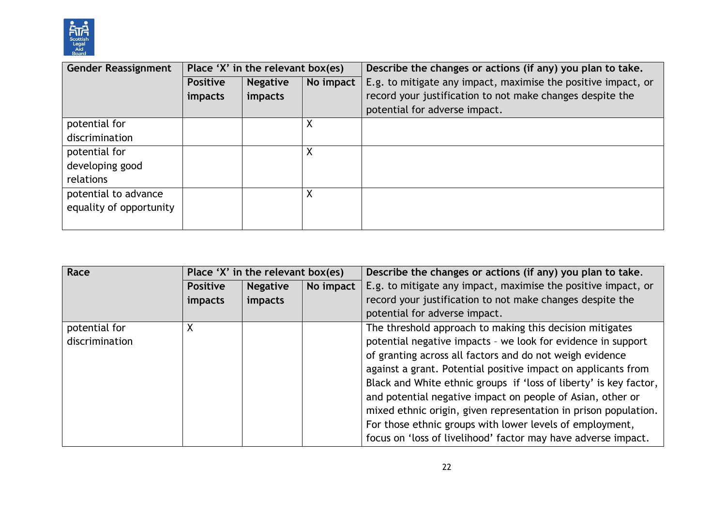

| <b>Gender Reassignment</b> |                 | Place 'X' in the relevant box(es) |           | Describe the changes or actions (if any) you plan to take.    |
|----------------------------|-----------------|-----------------------------------|-----------|---------------------------------------------------------------|
|                            | <b>Positive</b> | <b>Negative</b>                   | No impact | E.g. to mitigate any impact, maximise the positive impact, or |
|                            | impacts         | impacts                           |           | record your justification to not make changes despite the     |
|                            |                 |                                   |           | potential for adverse impact.                                 |
| potential for              |                 |                                   | X         |                                                               |
| discrimination             |                 |                                   |           |                                                               |
| potential for              |                 |                                   | $\sf X$   |                                                               |
| developing good            |                 |                                   |           |                                                               |
| relations                  |                 |                                   |           |                                                               |
| potential to advance       |                 |                                   | χ         |                                                               |
| equality of opportunity    |                 |                                   |           |                                                               |
|                            |                 |                                   |           |                                                               |

| Race                                 |                                                                                                                                                                                                                                                       | Place 'X' in the relevant box(es) |           | Describe the changes or actions (if any) you plan to take.                                                                                                                                                                                                                                                                      |
|--------------------------------------|-------------------------------------------------------------------------------------------------------------------------------------------------------------------------------------------------------------------------------------------------------|-----------------------------------|-----------|---------------------------------------------------------------------------------------------------------------------------------------------------------------------------------------------------------------------------------------------------------------------------------------------------------------------------------|
|                                      | <b>Positive</b>                                                                                                                                                                                                                                       | <b>Negative</b>                   | No impact | E.g. to mitigate any impact, maximise the positive impact, or                                                                                                                                                                                                                                                                   |
|                                      | impacts                                                                                                                                                                                                                                               | impacts                           |           | record your justification to not make changes despite the                                                                                                                                                                                                                                                                       |
|                                      |                                                                                                                                                                                                                                                       |                                   |           | potential for adverse impact.                                                                                                                                                                                                                                                                                                   |
| potential for<br>X<br>discrimination | The threshold approach to making this decision mitigates<br>potential negative impacts - we look for evidence in support<br>of granting across all factors and do not weigh evidence<br>against a grant. Potential positive impact on applicants from |                                   |           |                                                                                                                                                                                                                                                                                                                                 |
|                                      |                                                                                                                                                                                                                                                       |                                   |           | Black and White ethnic groups if 'loss of liberty' is key factor,<br>and potential negative impact on people of Asian, other or<br>mixed ethnic origin, given representation in prison population.<br>For those ethnic groups with lower levels of employment,<br>focus on 'loss of livelihood' factor may have adverse impact. |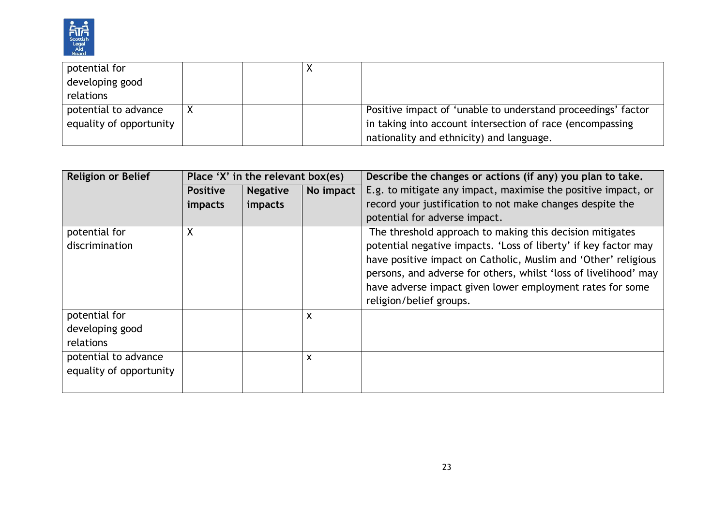

| potential for           |  |                                                              |
|-------------------------|--|--------------------------------------------------------------|
| developing good         |  |                                                              |
| relations               |  |                                                              |
| potential to advance    |  | Positive impact of 'unable to understand proceedings' factor |
| equality of opportunity |  | in taking into account intersection of race (encompassing    |
|                         |  | nationality and ethnicity) and language.                     |

| <b>Religion or Belief</b> |                 | Place 'X' in the relevant box(es) |           | Describe the changes or actions (if any) you plan to take.       |
|---------------------------|-----------------|-----------------------------------|-----------|------------------------------------------------------------------|
|                           | <b>Positive</b> | <b>Negative</b>                   | No impact | E.g. to mitigate any impact, maximise the positive impact, or    |
|                           | impacts         | impacts                           |           | record your justification to not make changes despite the        |
|                           |                 |                                   |           | potential for adverse impact.                                    |
| potential for             | χ               |                                   |           | The threshold approach to making this decision mitigates         |
| discrimination            |                 |                                   |           | potential negative impacts. 'Loss of liberty' if key factor may  |
|                           |                 |                                   |           | have positive impact on Catholic, Muslim and 'Other' religious   |
|                           |                 |                                   |           | persons, and adverse for others, whilst 'loss of livelihood' may |
|                           |                 |                                   |           | have adverse impact given lower employment rates for some        |
|                           |                 |                                   |           | religion/belief groups.                                          |
| potential for             |                 |                                   | X         |                                                                  |
| developing good           |                 |                                   |           |                                                                  |
| relations                 |                 |                                   |           |                                                                  |
| potential to advance      |                 |                                   | X         |                                                                  |
| equality of opportunity   |                 |                                   |           |                                                                  |
|                           |                 |                                   |           |                                                                  |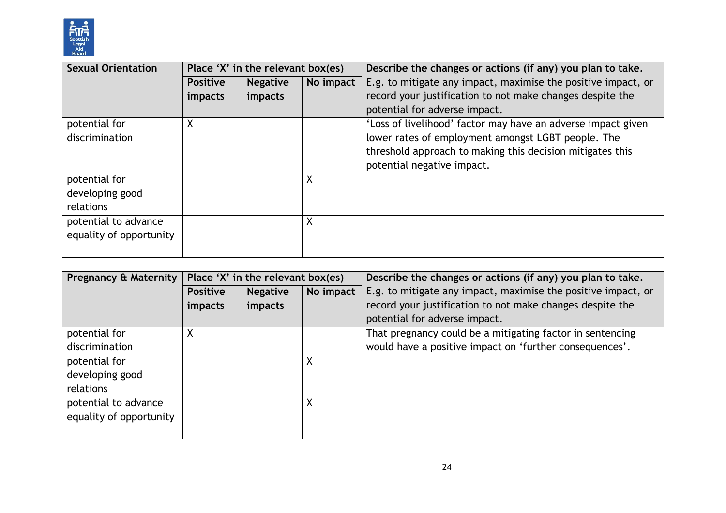

| <b>Sexual Orientation</b> | Place 'X' in the relevant box(es) |                 |           | Describe the changes or actions (if any) you plan to take.    |
|---------------------------|-----------------------------------|-----------------|-----------|---------------------------------------------------------------|
|                           | <b>Positive</b>                   | <b>Negative</b> | No impact | E.g. to mitigate any impact, maximise the positive impact, or |
|                           | impacts                           | impacts         |           | record your justification to not make changes despite the     |
|                           |                                   |                 |           | potential for adverse impact.                                 |
| potential for             | X                                 |                 |           | 'Loss of livelihood' factor may have an adverse impact given  |
| discrimination            |                                   |                 |           | lower rates of employment amongst LGBT people. The            |
|                           |                                   |                 |           | threshold approach to making this decision mitigates this     |
|                           |                                   |                 |           | potential negative impact.                                    |
| potential for             |                                   |                 | X         |                                                               |
| developing good           |                                   |                 |           |                                                               |
| relations                 |                                   |                 |           |                                                               |
| potential to advance      |                                   |                 | X         |                                                               |
| equality of opportunity   |                                   |                 |           |                                                               |
|                           |                                   |                 |           |                                                               |

| Pregnancy & Maternity   | Place 'X' in the relevant box(es) |                 |           | Describe the changes or actions (if any) you plan to take.    |
|-------------------------|-----------------------------------|-----------------|-----------|---------------------------------------------------------------|
|                         | <b>Positive</b>                   | <b>Negative</b> | No impact | E.g. to mitigate any impact, maximise the positive impact, or |
|                         | <i>impacts</i>                    | impacts         |           | record your justification to not make changes despite the     |
|                         |                                   |                 |           | potential for adverse impact.                                 |
| potential for           | X                                 |                 |           | That pregnancy could be a mitigating factor in sentencing     |
| discrimination          |                                   |                 |           | would have a positive impact on 'further consequences'.       |
| potential for           |                                   |                 | X         |                                                               |
| developing good         |                                   |                 |           |                                                               |
| relations               |                                   |                 |           |                                                               |
| potential to advance    |                                   |                 | Χ         |                                                               |
| equality of opportunity |                                   |                 |           |                                                               |
|                         |                                   |                 |           |                                                               |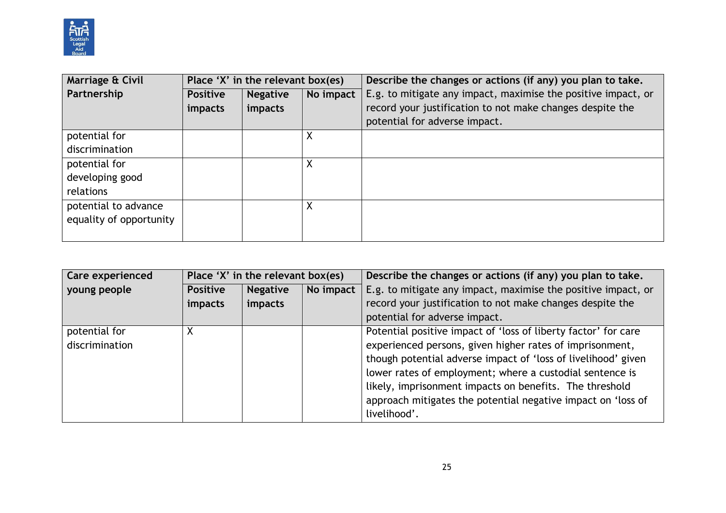

| Marriage & Civil        | Place 'X' in the relevant box(es) |                 |           | Describe the changes or actions (if any) you plan to take.    |
|-------------------------|-----------------------------------|-----------------|-----------|---------------------------------------------------------------|
| Partnership             | <b>Positive</b>                   | <b>Negative</b> | No impact | E.g. to mitigate any impact, maximise the positive impact, or |
|                         | impacts                           | impacts         |           | record your justification to not make changes despite the     |
|                         |                                   |                 |           | potential for adverse impact.                                 |
| potential for           |                                   |                 |           |                                                               |
| discrimination          |                                   |                 |           |                                                               |
| potential for           |                                   |                 | Χ         |                                                               |
| developing good         |                                   |                 |           |                                                               |
| relations               |                                   |                 |           |                                                               |
| potential to advance    |                                   |                 | Χ         |                                                               |
| equality of opportunity |                                   |                 |           |                                                               |
|                         |                                   |                 |           |                                                               |

| <b>Care experienced</b>         | Place 'X' in the relevant box(es)  |           | Describe the changes or actions (if any) you plan to take.                                                                                                                                                                                                                                                                                                                         |
|---------------------------------|------------------------------------|-----------|------------------------------------------------------------------------------------------------------------------------------------------------------------------------------------------------------------------------------------------------------------------------------------------------------------------------------------------------------------------------------------|
| young people                    | <b>Negative</b><br><b>Positive</b> | No impact | E.g. to mitigate any impact, maximise the positive impact, or                                                                                                                                                                                                                                                                                                                      |
|                                 | impacts<br><i>impacts</i>          |           | record your justification to not make changes despite the                                                                                                                                                                                                                                                                                                                          |
|                                 |                                    |           | potential for adverse impact.                                                                                                                                                                                                                                                                                                                                                      |
| potential for<br>discrimination |                                    |           | Potential positive impact of 'loss of liberty factor' for care<br>experienced persons, given higher rates of imprisonment,<br>though potential adverse impact of 'loss of livelihood' given<br>lower rates of employment; where a custodial sentence is<br>likely, imprisonment impacts on benefits. The threshold<br>approach mitigates the potential negative impact on 'loss of |
|                                 |                                    |           | livelihood'.                                                                                                                                                                                                                                                                                                                                                                       |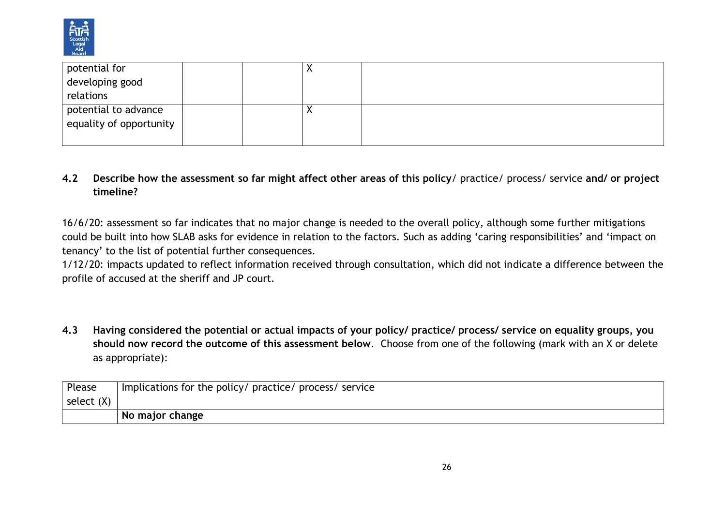

| potential for           |  | $\lambda$ |  |
|-------------------------|--|-----------|--|
| developing good         |  |           |  |
| relations               |  |           |  |
| potential to advance    |  |           |  |
| equality of opportunity |  |           |  |
|                         |  |           |  |

#### **4.2 Describe how the assessment so far might affect other areas of this policy**/ practice/ process/ service **and/ or project timeline?**

16/6/20: assessment so far indicates that no major change is needed to the overall policy, although some further mitigations could be built into how SLAB asks for evidence in relation to the factors. Such as adding 'caring responsibilities' and 'impact on tenancy' to the list of potential further consequences.

1/12/20: impacts updated to reflect information received through consultation, which did not indicate a difference between the profile of accused at the sheriff and JP court.

**4.3 Having considered the potential or actual impacts of your policy/ practice/ process/ service on equality groups, you should now record the outcome of this assessment below**. Choose from one of the following (mark with an X or delete as appropriate):

| Please       | Implications for the policy/ practice/ process/ service |  |  |
|--------------|---------------------------------------------------------|--|--|
| select $(X)$ |                                                         |  |  |
|              | No major change                                         |  |  |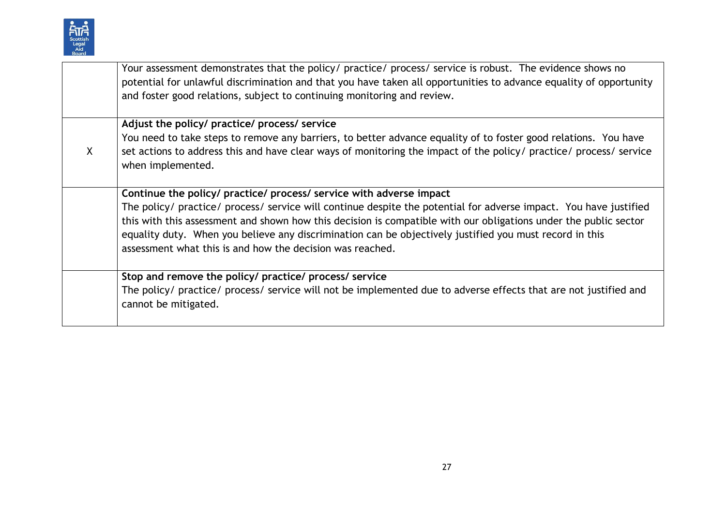

|         | Your assessment demonstrates that the policy/ practice/ process/ service is robust. The evidence shows no<br>potential for unlawful discrimination and that you have taken all opportunities to advance equality of opportunity<br>and foster good relations, subject to continuing monitoring and review.                                                                                                    |
|---------|---------------------------------------------------------------------------------------------------------------------------------------------------------------------------------------------------------------------------------------------------------------------------------------------------------------------------------------------------------------------------------------------------------------|
|         | Adjust the policy/ practice/ process/ service                                                                                                                                                                                                                                                                                                                                                                 |
| $\sf X$ | You need to take steps to remove any barriers, to better advance equality of to foster good relations. You have<br>set actions to address this and have clear ways of monitoring the impact of the policy/ practice/ process/ service<br>when implemented.                                                                                                                                                    |
|         | Continue the policy/ practice/ process/ service with adverse impact                                                                                                                                                                                                                                                                                                                                           |
|         | The policy/ practice/ process/ service will continue despite the potential for adverse impact. You have justified<br>this with this assessment and shown how this decision is compatible with our obligations under the public sector<br>equality duty. When you believe any discrimination can be objectively justified you must record in this<br>assessment what this is and how the decision was reached. |
|         | Stop and remove the policy/ practice/ process/ service                                                                                                                                                                                                                                                                                                                                                        |
|         | The policy/ practice/ process/ service will not be implemented due to adverse effects that are not justified and<br>cannot be mitigated.                                                                                                                                                                                                                                                                      |
|         |                                                                                                                                                                                                                                                                                                                                                                                                               |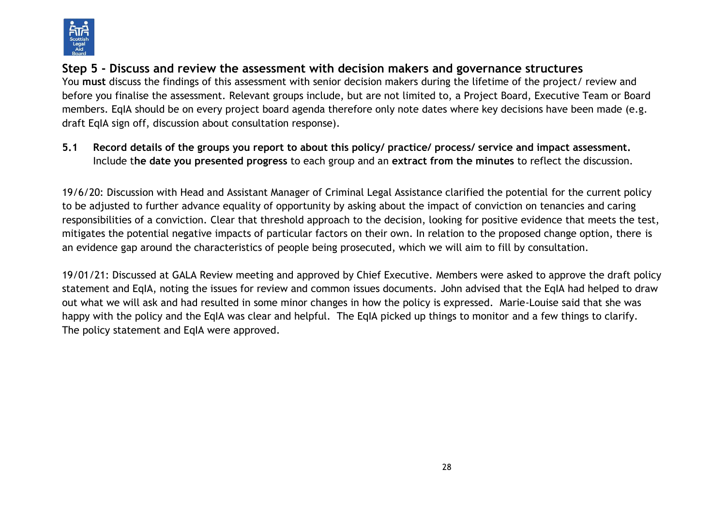

# **Step 5 - Discuss and review the assessment with decision makers and governance structures**

You **must** discuss the findings of this assessment with senior decision makers during the lifetime of the project/ review and before you finalise the assessment. Relevant groups include, but are not limited to, a Project Board, Executive Team or Board members. EqIA should be on every project board agenda therefore only note dates where key decisions have been made (e.g. draft EqIA sign off, discussion about consultation response).

**5.1 Record details of the groups you report to about this policy/ practice/ process/ service and impact assessment.**  Include t**he date you presented progress** to each group and an **extract from the minutes** to reflect the discussion.

19/6/20: Discussion with Head and Assistant Manager of Criminal Legal Assistance clarified the potential for the current policy to be adjusted to further advance equality of opportunity by asking about the impact of conviction on tenancies and caring responsibilities of a conviction. Clear that threshold approach to the decision, looking for positive evidence that meets the test, mitigates the potential negative impacts of particular factors on their own. In relation to the proposed change option, there is an evidence gap around the characteristics of people being prosecuted, which we will aim to fill by consultation.

19/01/21: Discussed at GALA Review meeting and approved by Chief Executive. Members were asked to approve the draft policy statement and EqIA, noting the issues for review and common issues documents. John advised that the EqIA had helped to draw out what we will ask and had resulted in some minor changes in how the policy is expressed. Marie-Louise said that she was happy with the policy and the EqIA was clear and helpful. The EqIA picked up things to monitor and a few things to clarify. The policy statement and EqIA were approved.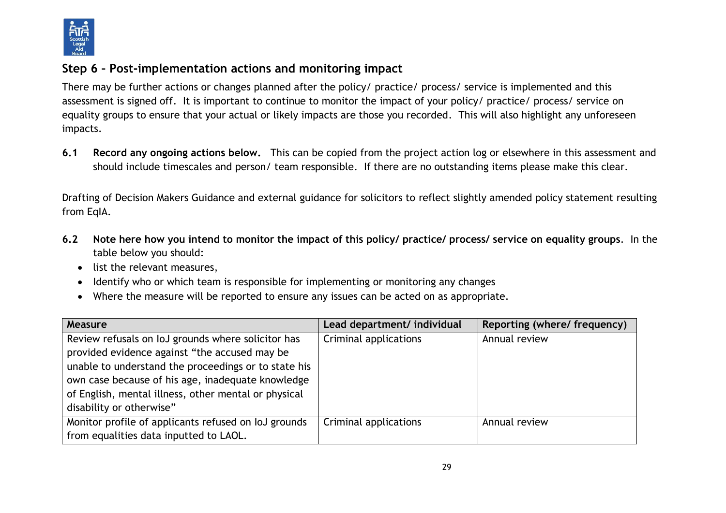

## **Step 6 – Post-implementation actions and monitoring impact**

There may be further actions or changes planned after the policy/ practice/ process/ service is implemented and this assessment is signed off. It is important to continue to monitor the impact of your policy/ practice/ process/ service on equality groups to ensure that your actual or likely impacts are those you recorded. This will also highlight any unforeseen impacts.

**6.1 Record any ongoing actions below.** This can be copied from the project action log or elsewhere in this assessment and should include timescales and person/ team responsible.If there are no outstanding items please make this clear.

Drafting of Decision Makers Guidance and external guidance for solicitors to reflect slightly amended policy statement resulting from EqIA.

- **6.2 Note here how you intend to monitor the impact of this policy/ practice/ process/ service on equality groups**. In the table below you should:
	- list the relevant measures,
	- Identify who or which team is responsible for implementing or monitoring any changes
	- Where the measure will be reported to ensure any issues can be acted on as appropriate.

| Measure                                              | Lead department/ individual | Reporting (where/ frequency) |
|------------------------------------------------------|-----------------------------|------------------------------|
| Review refusals on IoJ grounds where solicitor has   | Criminal applications       | Annual review                |
| provided evidence against "the accused may be        |                             |                              |
| unable to understand the proceedings or to state his |                             |                              |
| own case because of his age, inadequate knowledge    |                             |                              |
| of English, mental illness, other mental or physical |                             |                              |
| disability or otherwise"                             |                             |                              |
| Monitor profile of applicants refused on IoJ grounds | Criminal applications       | Annual review                |
| from equalities data inputted to LAOL.               |                             |                              |